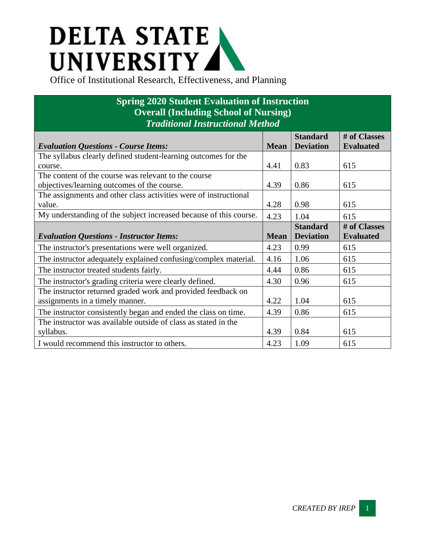## **DELTA STATE A** UNIVERSITY

## **Spring 2020 Student Evaluation of Instruction Overall (Including School of Nursing)** *Traditional Instructional Method*

|                                                                   |             | <b>Standard</b>  | # of Classes     |
|-------------------------------------------------------------------|-------------|------------------|------------------|
| <b>Evaluation Questions - Course Items:</b>                       | <b>Mean</b> | <b>Deviation</b> | <b>Evaluated</b> |
| The syllabus clearly defined student-learning outcomes for the    |             |                  |                  |
| course.                                                           | 4.41        | 0.83             | 615              |
| The content of the course was relevant to the course              |             |                  |                  |
| objectives/learning outcomes of the course.                       | 4.39        | 0.86             | 615              |
| The assignments and other class activities were of instructional  |             |                  |                  |
| value.                                                            | 4.28        | 0.98             | 615              |
| My understanding of the subject increased because of this course. | 4.23        | 1.04             | 615              |
|                                                                   |             | <b>Standard</b>  | # of Classes     |
| <b>Evaluation Questions - Instructor Items:</b>                   | <b>Mean</b> | <b>Deviation</b> | <b>Evaluated</b> |
| The instructor's presentations were well organized.               | 4.23        | 0.99             | 615              |
| The instructor adequately explained confusing/complex material.   | 4.16        | 1.06             | 615              |
| The instructor treated students fairly.                           | 4.44        | 0.86             | 615              |
| The instructor's grading criteria were clearly defined.           | 4.30        | 0.96             | 615              |
| The instructor returned graded work and provided feedback on      |             |                  |                  |
| assignments in a timely manner.                                   | 4.22        | 1.04             | 615              |
| The instructor consistently began and ended the class on time.    | 4.39        | 0.86             | 615              |
| The instructor was available outside of class as stated in the    |             |                  |                  |
| syllabus.                                                         | 4.39        | 0.84             | 615              |
| I would recommend this instructor to others.                      | 4.23        | 1.09             | 615              |